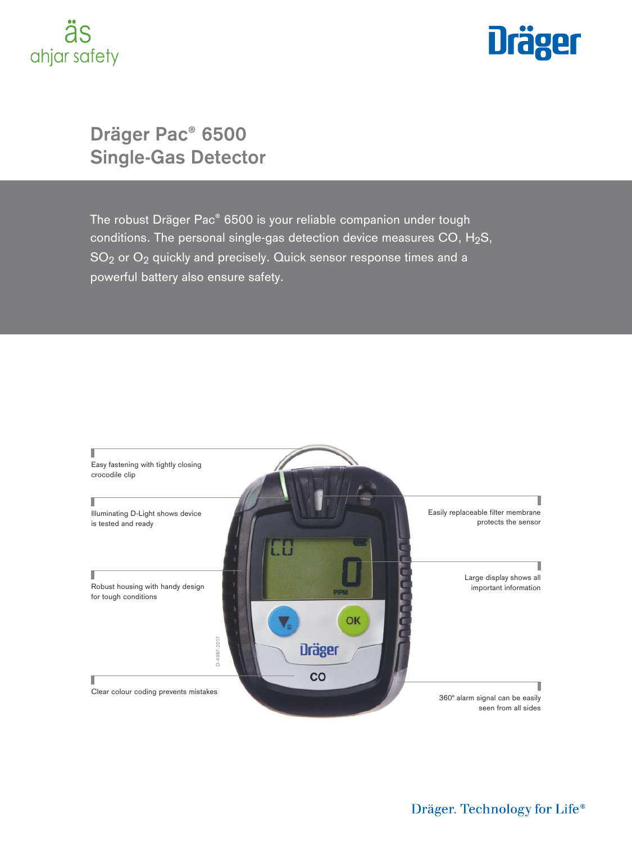# ahjar safety



# **Dräger Pac® 6500 Single-Gas Detector**

The robust Dräger Pac® 6500 is your reliable companion under tough conditions. The personal single-gas detection device measures CO,  $H_2S$ , SO<sub>2</sub> or O<sub>2</sub> quickly and precisely. Quick sensor response times and a powerful battery also ensure safety.

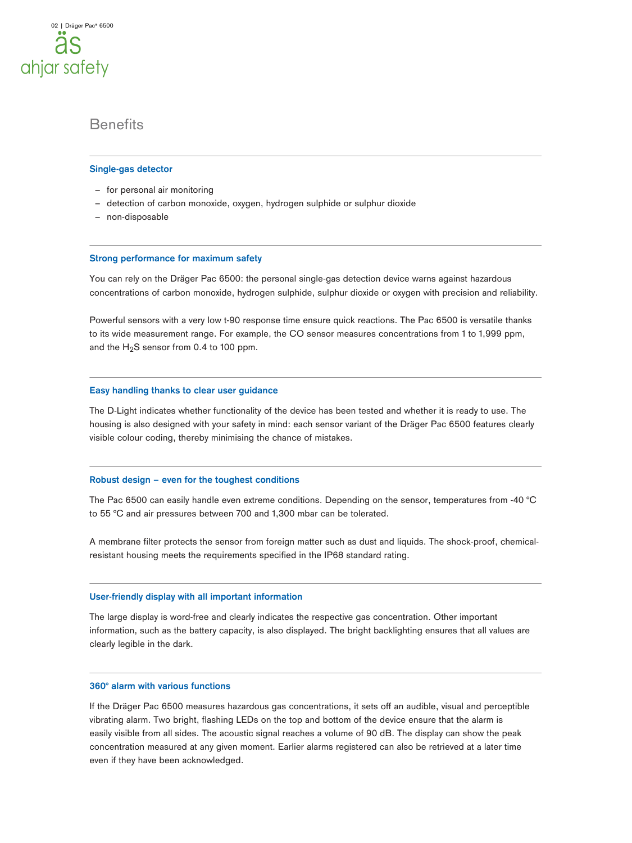### **Benefits**

#### **Single-gas detector**

- for personal air monitoring
- detection of carbon monoxide, oxygen, hydrogen sulphide or sulphur dioxide
- non-disposable

#### **Strong performance for maximum safety**

You can rely on the Dräger Pac 6500: the personal single-gas detection device warns against hazardous concentrations of carbon monoxide, hydrogen sulphide, sulphur dioxide or oxygen with precision and reliability.

Powerful sensors with a very low t-90 response time ensure quick reactions. The Pac 6500 is versatile thanks to its wide measurement range. For example, the CO sensor measures concentrations from 1 to 1,999 ppm, and the  $H_2S$  sensor from 0.4 to 100 ppm.

#### **Easy handling thanks to clear user guidance**

The D-Light indicates whether functionality of the device has been tested and whether it is ready to use. The housing is also designed with your safety in mind: each sensor variant of the Dräger Pac 6500 features clearly visible colour coding, thereby minimising the chance of mistakes.

#### **Robust design – even for the toughest conditions**

The Pac 6500 can easily handle even extreme conditions. Depending on the sensor, temperatures from -40 °C to 55 °C and air pressures between 700 and 1,300 mbar can be tolerated.

A membrane filter protects the sensor from foreign matter such as dust and liquids. The shock-proof, chemicalresistant housing meets the requirements specified in the IP68 standard rating.

#### **User-friendly display with all important information**

The large display is word-free and clearly indicates the respective gas concentration. Other important information, such as the battery capacity, is also displayed. The bright backlighting ensures that all values are clearly legible in the dark.

#### **360° alarm with various functions**

If the Dräger Pac 6500 measures hazardous gas concentrations, it sets off an audible, visual and perceptible vibrating alarm. Two bright, flashing LEDs on the top and bottom of the device ensure that the alarm is easily visible from all sides. The acoustic signal reaches a volume of 90 dB. The display can show the peak concentration measured at any given moment. Earlier alarms registered can also be retrieved at a later time even if they have been acknowledged.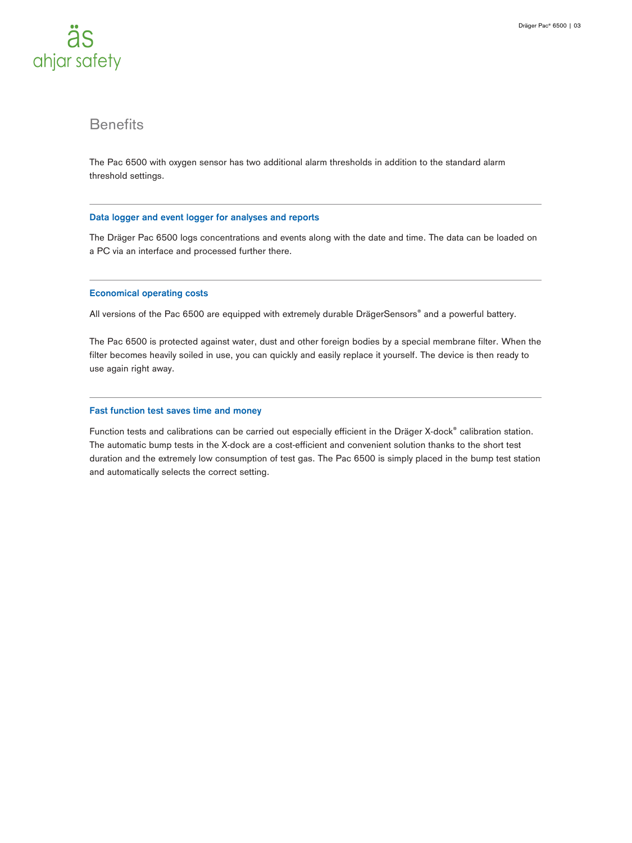

### **Benefits**

The Pac 6500 with oxygen sensor has two additional alarm thresholds in addition to the standard alarm threshold settings.

#### **Data logger and event logger for analyses and reports**

The Dräger Pac 6500 logs concentrations and events along with the date and time. The data can be loaded on a PC via an interface and processed further there.

#### **Economical operating costs**

All versions of the Pac 6500 are equipped with extremely durable DrägerSensors® and a powerful battery.

The Pac 6500 is protected against water, dust and other foreign bodies by a special membrane filter. When the filter becomes heavily soiled in use, you can quickly and easily replace it yourself. The device is then ready to use again right away.

#### **Fast function test saves time and money**

Function tests and calibrations can be carried out especially efficient in the Dräger X-dock® calibration station. The automatic bump tests in the X-dock are a cost-efficient and convenient solution thanks to the short test duration and the extremely low consumption of test gas. The Pac 6500 is simply placed in the bump test station and automatically selects the correct setting.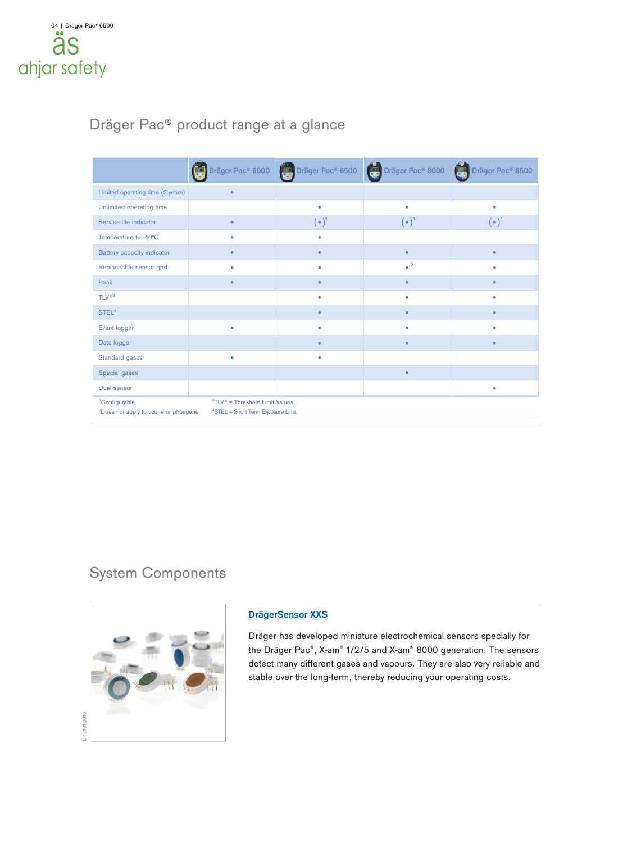# Dräger Pac® product range at a glance

|                                                                                                                                                                                                      |           | <b>Dräger Pac® 6000 [CEI Dräger Pac® 6500 [CEI Dräger Pac® 8000</b> |                        | Dräger Pac <sup>®</sup> 8500 |
|------------------------------------------------------------------------------------------------------------------------------------------------------------------------------------------------------|-----------|---------------------------------------------------------------------|------------------------|------------------------------|
| Limited operating time (2 years)                                                                                                                                                                     | $\bullet$ |                                                                     |                        |                              |
| Unlimited operating time                                                                                                                                                                             |           | ۰                                                                   | ۰                      | ٠                            |
| Service life indicator                                                                                                                                                                               | $\bullet$ | $(\bullet)^{\mathsf{t}}$                                            | $(\bullet)^1$          | $(\bullet)^{\mathsf{T}}$     |
| Temperature to -40°C                                                                                                                                                                                 | ٠         | ۰                                                                   |                        |                              |
| <b>Battery capacity indicator</b>                                                                                                                                                                    | ٠         | ۰                                                                   | $\bullet$              |                              |
| Replaceable sensor grid                                                                                                                                                                              | ٠         | ٠                                                                   | $\bullet$ <sup>2</sup> |                              |
| Peak                                                                                                                                                                                                 | $\bullet$ | ٠                                                                   | $\bullet$              |                              |
| TLV <sup>®3</sup>                                                                                                                                                                                    |           | ۰                                                                   | $\bullet$              | ۰                            |
| STEL <sup>4</sup>                                                                                                                                                                                    |           | $\bullet$                                                           | $\bullet$              | $\bullet$                    |
| Event logger                                                                                                                                                                                         | ۰         | ۰                                                                   | ۰                      | ۰                            |
| Data logger                                                                                                                                                                                          |           | $\bullet$                                                           | $\bullet$              |                              |
| <b>Standard gases</b>                                                                                                                                                                                | ۰         | ۰                                                                   |                        |                              |
| Special gases                                                                                                                                                                                        |           |                                                                     | $\bullet$              |                              |
| Dual sensor                                                                                                                                                                                          |           |                                                                     |                        | ٠                            |
| ${}^{3}TLV$ <sup><math>\circ</math></sup> = Threshold Limit Values<br><sup>1</sup> Configurable<br><sup>4</sup> STEL = Short Term Exposure Limit<br><sup>2</sup> Does not apply to ozone or phosgene |           |                                                                     |                        |                              |

# System Components



#### **DrägerSensor XXS**

Dräger has developed miniature electrochemical sensors specially for the Dräger Pac®, X-am® 1/2/5 and X-am® 8000 generation. The sensors detect many different gases and vapours. They are also very reliable and stable over the long-term, thereby reducing your operating costs.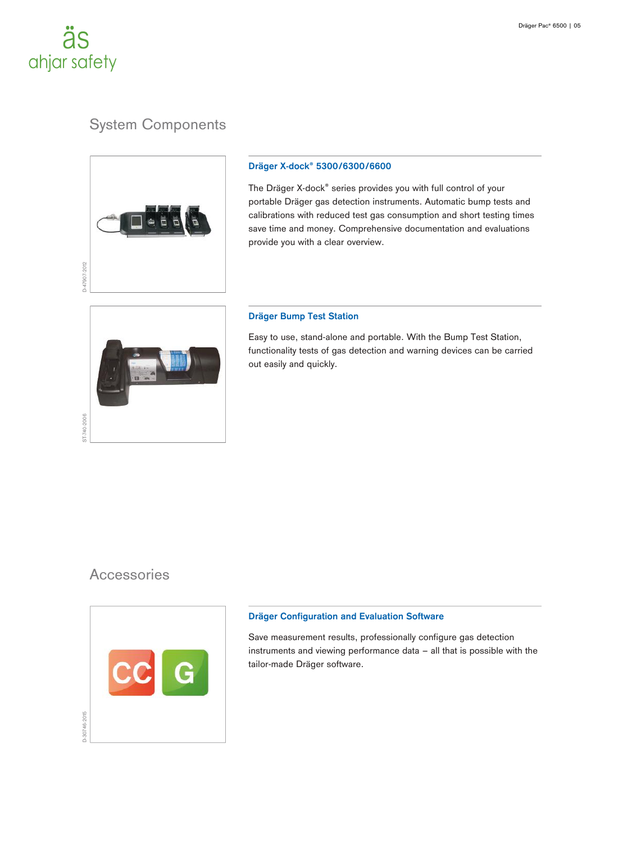# äs ahjar safety

# System Components



#### **Dräger X-dock® 5300/6300/6600**

The Dräger X-dock® series provides you with full control of your portable Dräger gas detection instruments. Automatic bump tests and calibrations with reduced test gas consumption and short testing times save time and money. Comprehensive documentation and evaluations provide you with a clear overview.



#### **Dräger Bump Test Station**

Easy to use, stand-alone and portable. With the Bump Test Station, functionality tests of gas detection and warning devices can be carried out easily and quickly.

### **Accessories**



#### **Dräger Configuration and Evaluation Software**

Save measurement results, professionally configure gas detection instruments and viewing performance data – all that is possible with the tailor-made Dräger software.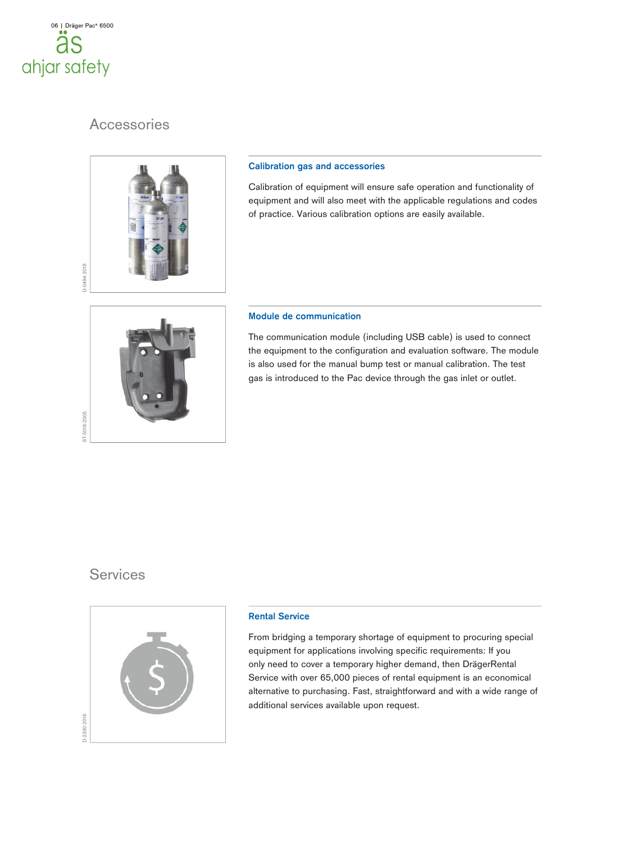

## **Accessories**



#### **Calibration gas and accessories**

Calibration of equipment will ensure safe operation and functionality of equipment and will also meet with the applicable regulations and codes of practice. Various calibration options are easily available.

#### **Module de communication**

The communication module (including USB cable) is used to connect the equipment to the configuration and evaluation software. The module is also used for the manual bump test or manual calibration. The test gas is introduced to the Pac device through the gas inlet or outlet.

### **Services**

ST-5018-2005



#### **Rental Service**

From bridging a temporary shortage of equipment to procuring special equipment for applications involving specific requirements: If you only need to cover a temporary higher demand, then DrägerRental Service with over 65,000 pieces of rental equipment is an economical alternative to purchasing. Fast, straightforward and with a wide range of additional services available upon request.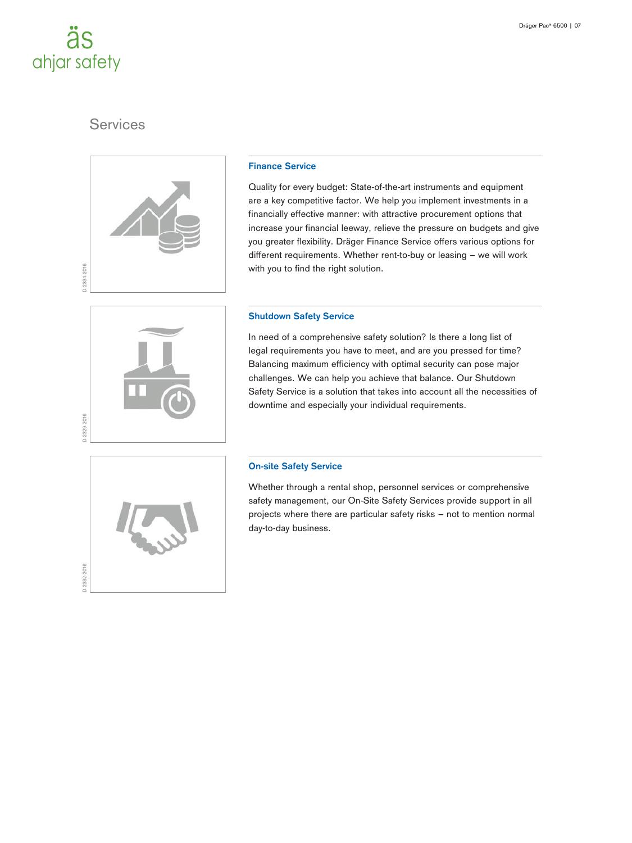# äs ahjar safety

# **Services**



#### **Finance Service**

Quality for every budget: State-of-the-art instruments and equipment are a key competitive factor. We help you implement investments in a financially effective manner: with attractive procurement options that increase your financial leeway, relieve the pressure on budgets and give you greater flexibility. Dräger Finance Service offers various options for different requirements. Whether rent-to-buy or leasing – we will work with you to find the right solution.

# **Shutdown Safety Service**

In need of a comprehensive safety solution? Is there a long list of legal requirements you have to meet, and are you pressed for time? Balancing maximum efficiency with optimal security can pose major challenges. We can help you achieve that balance. Our Shutdown Safety Service is a solution that takes into account all the necessities of downtime and especially your individual requirements.



#### **On-site Safety Service**

Whether through a rental shop, personnel services or comprehensive safety management, our On-Site Safety Services provide support in all projects where there are particular safety risks – not to mention normal day-to-day business.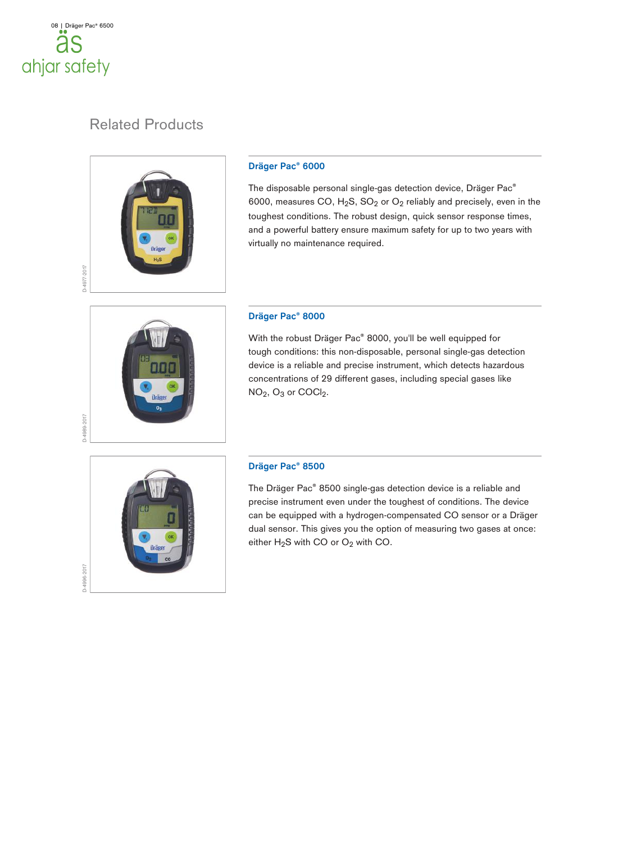

# Related Products



#### **Dräger Pac® 6000**

The disposable personal single-gas detection device, Dräger Pac® 6000, measures CO,  $H_2S$ ,  $SO_2$  or  $O_2$  reliably and precisely, even in the toughest conditions. The robust design, quick sensor response times, and a powerful battery ensure maximum safety for up to two years with virtually no maintenance required.

#### **Dräger Pac® 8000**

With the robust Dräger Pac® 8000, you'll be well equipped for tough conditions: this non-disposable, personal single-gas detection device is a reliable and precise instrument, which detects hazardous concentrations of 29 different gases, including special gases like NO<sub>2</sub>, O<sub>3</sub> or COCl<sub>2</sub>.



D-4996-2017

#### **Dräger Pac® 8500**

The Dräger Pac® 8500 single-gas detection device is a reliable and precise instrument even under the toughest of conditions. The device can be equipped with a hydrogen-compensated CO sensor or a Dräger dual sensor. This gives you the option of measuring two gases at once: either  $H_2S$  with CO or  $O_2$  with CO.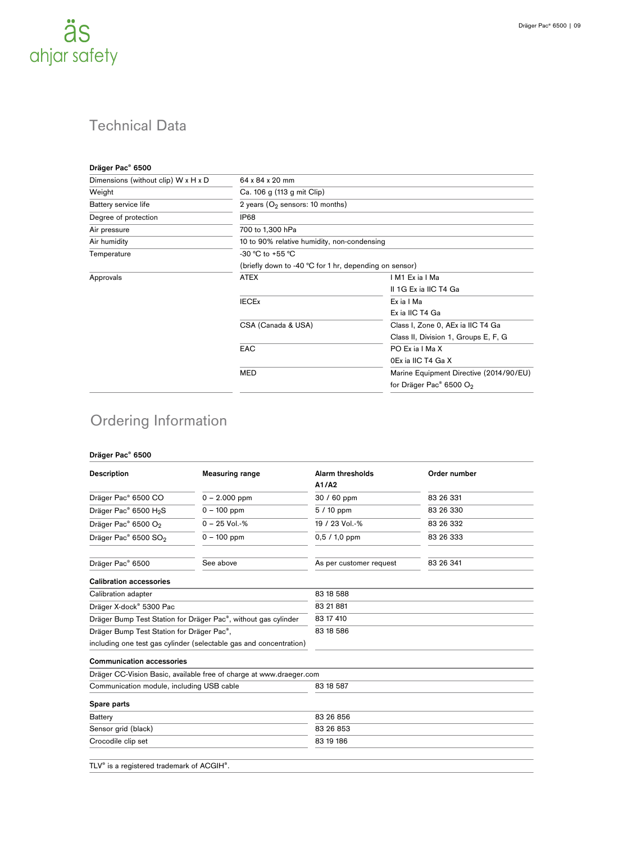

| 64 x 84 x 20 mm                                        |                                         |  |  |  |
|--------------------------------------------------------|-----------------------------------------|--|--|--|
| Ca. 106 g (113 g mit Clip)                             |                                         |  |  |  |
| 2 years ( $O2$ sensors: 10 months)                     |                                         |  |  |  |
| IP68                                                   |                                         |  |  |  |
| 700 to 1,300 hPa                                       |                                         |  |  |  |
| 10 to 90% relative humidity, non-condensing            |                                         |  |  |  |
| -30 °C to +55 °C                                       |                                         |  |  |  |
| (briefly down to -40 °C for 1 hr, depending on sensor) |                                         |  |  |  |
| <b>ATEX</b>                                            | IM1 Exia I Ma                           |  |  |  |
|                                                        | II 1G Ex ia IIC T4 Ga                   |  |  |  |
| <b>IECEx</b>                                           | Ex ia I Ma                              |  |  |  |
|                                                        | Ex ia IIC T4 Ga                         |  |  |  |
| CSA (Canada & USA)                                     | Class I, Zone 0, AEx ia IIC T4 Ga       |  |  |  |
|                                                        | Class II, Division 1, Groups E, F, G    |  |  |  |
| <b>EAC</b>                                             | PO Ex ia I Ma X                         |  |  |  |
|                                                        | 0Ex ia IIC T4 Ga X                      |  |  |  |
| <b>MED</b>                                             | Marine Equipment Directive (2014/90/EU) |  |  |  |
|                                                        | for Dräger Pac <sup>®</sup> 6500 $O_2$  |  |  |  |
|                                                        |                                         |  |  |  |

# Ordering Information

#### **Dräger Pac® 6500**

| <b>Description</b>                                                          | <b>Measuring range</b>                                              | Alarm thresholds        | Order number |  |  |
|-----------------------------------------------------------------------------|---------------------------------------------------------------------|-------------------------|--------------|--|--|
|                                                                             |                                                                     | A1/A2                   |              |  |  |
| Dräger Pac® 6500 CO                                                         | $0 - 2.000$ ppm                                                     | 30 / 60 ppm             | 83 26 331    |  |  |
| Dräger Pac® 6500 H <sub>2</sub> S                                           | $0 - 100$ ppm                                                       | $5/10$ ppm              | 83 26 330    |  |  |
| Dräger Pac® 6500 O <sub>2</sub>                                             | $0 - 25$ Vol.-%                                                     | 19 / 23 Vol.-%          | 83 26 332    |  |  |
| Dräger Pac® 6500 SO <sub>2</sub>                                            | $0 - 100$ ppm                                                       | $0,5/1,0$ ppm           | 83 26 333    |  |  |
| Dräger Pac® 6500                                                            | See above                                                           | As per customer request | 83 26 341    |  |  |
| <b>Calibration accessories</b>                                              |                                                                     |                         |              |  |  |
| Calibration adapter                                                         |                                                                     | 83 18 588               |              |  |  |
| Dräger X-dock <sup>®</sup> 5300 Pac                                         |                                                                     | 83 21 881               |              |  |  |
| Dräger Bump Test Station for Dräger Pac <sup>®</sup> , without gas cylinder |                                                                     | 83 17 410               |              |  |  |
| Dräger Bump Test Station for Dräger Pac <sup>®</sup> ,                      |                                                                     | 83 18 586               |              |  |  |
|                                                                             | including one test gas cylinder (selectable gas and concentration)  |                         |              |  |  |
| <b>Communication accessories</b>                                            |                                                                     |                         |              |  |  |
|                                                                             | Dräger CC-Vision Basic, available free of charge at www.draeger.com |                         |              |  |  |
| Communication module, including USB cable                                   |                                                                     | 83 18 587               |              |  |  |
| Spare parts                                                                 |                                                                     |                         |              |  |  |
| <b>Battery</b>                                                              |                                                                     | 83 26 856               |              |  |  |
| Sensor grid (black)                                                         |                                                                     | 83 26 853               |              |  |  |
| Crocodile clip set                                                          |                                                                     | 83 19 186               |              |  |  |
|                                                                             |                                                                     |                         |              |  |  |
| TLV <sup>®</sup> is a registered trademark of ACGIH <sup>®</sup> .          |                                                                     |                         |              |  |  |